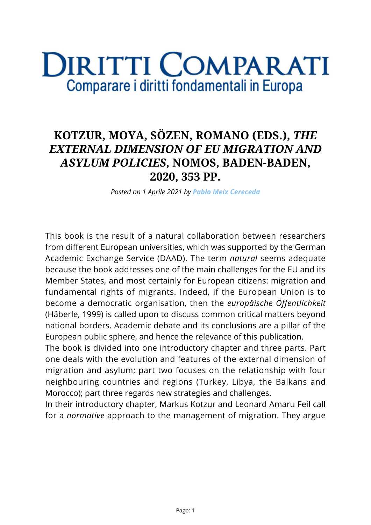## **DIRITTI COMPARATI** Comparare i diritti fondamentali in Europa

## **KOTZUR, MOYA, SÖZEN, ROMANO (EDS.),** *THE EXTERNAL DIMENSION OF EU MIGRATION AND ASYLUM POLICIES***, NOMOS, BADEN-BADEN, 2020, 353 PP.**

*Posted on 1 Aprile 2021 by [Pablo Meix Cereceda](https://www.diritticomparati.it/autore/pablo-meix-cereceda/)*

This book is the result of a natural collaboration between researchers from different European universities, which was supported by the German Academic Exchange Service (DAAD). The term *natural* seems adequate because the book addresses one of the main challenges for the EU and its Member States, and most certainly for European citizens: migration and fundamental rights of migrants. Indeed, if the European Union is to become a democratic organisation, then the *europäische Öffentlichkeit* (Häberle, 1999) is called upon to discuss common critical matters beyond national borders. Academic debate and its conclusions are a pillar of the European public sphere, and hence the relevance of this publication.

The book is divided into one introductory chapter and three parts. Part one deals with the evolution and features of the external dimension of migration and asylum; part two focuses on the relationship with four neighbouring countries and regions (Turkey, Libya, the Balkans and Morocco); part three regards new strategies and challenges.

In their introductory chapter, Markus Kotzur and Leonard Amaru Feil call for a *normative* approach to the management of migration. They argue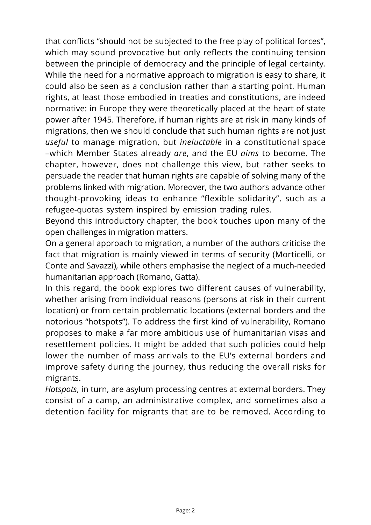that conflicts "should not be subjected to the free play of political forces", which may sound provocative but only reflects the continuing tension between the principle of democracy and the principle of legal certainty*.* While the need for a normative approach to migration is easy to share, it could also be seen as a conclusion rather than a starting point. Human rights, at least those embodied in treaties and constitutions, are indeed normative: in Europe they were theoretically placed at the heart of state power after 1945. Therefore, if human rights are at risk in many kinds of migrations, then we should conclude that such human rights are not just *useful* to manage migration, but *ineluctable* in a constitutional space –which Member States already *are*, and the EU *aims* to become. The chapter, however, does not challenge this view, but rather seeks to persuade the reader that human rights are capable of solving many of the problems linked with migration. Moreover, the two authors advance other thought-provoking ideas to enhance "flexible solidarity", such as a refugee-quotas system inspired by emission trading rules.

Beyond this introductory chapter, the book touches upon many of the open challenges in migration matters.

On a general approach to migration, a number of the authors criticise the fact that migration is mainly viewed in terms of security (Morticelli, or Conte and Savazzi), while others emphasise the neglect of a much-needed humanitarian approach (Romano, Gatta).

In this regard, the book explores two different causes of vulnerability, whether arising from individual reasons (persons at risk in their current location) or from certain problematic locations (external borders and the notorious "hotspots"). To address the first kind of vulnerability, Romano proposes to make a far more ambitious use of humanitarian visas and resettlement policies. It might be added that such policies could help lower the number of mass arrivals to the EU's external borders and improve safety during the journey, thus reducing the overall risks for migrants.

*Hotspots*, in turn, are asylum processing centres at external borders. They consist of a camp, an administrative complex, and sometimes also a detention facility for migrants that are to be removed. According to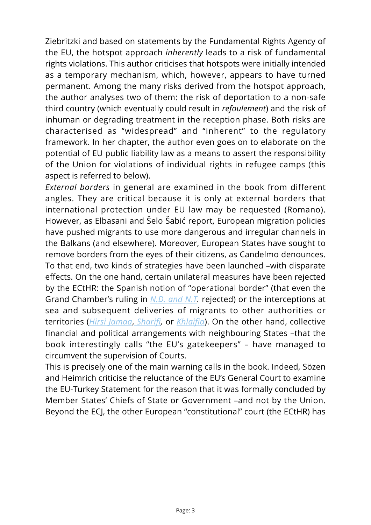Ziebritzki and based on statements by the Fundamental Rights Agency of the EU, the hotspot approach *inherently* leads to a risk of fundamental rights violations. This author criticises that hotspots were initially intended as a temporary mechanism, which, however, appears to have turned permanent. Among the many risks derived from the hotspot approach, the author analyses two of them: the risk of deportation to a non-safe third country (which eventually could result in *refoulement*) and the risk of inhuman or degrading treatment in the reception phase. Both risks are characterised as "widespread" and "inherent" to the regulatory framework. In her chapter, the author even goes on to elaborate on the potential of EU public liability law as a means to assert the responsibility of the Union for violations of individual rights in refugee camps (this aspect is referred to below).

*External borders* in general are examined in the book from different angles. They are critical because it is only at external borders that international protection under EU law may be requested (Romano). However, as Elbasani and Šelo Šabić report, European migration policies have pushed migrants to use more dangerous and irregular channels in the Balkans (and elsewhere). Moreover, European States have sought to remove borders from the eyes of their citizens, as Candelmo denounces. To that end, two kinds of strategies have been launched –with disparate effects. On the one hand, certain unilateral measures have been rejected by the ECtHR: the Spanish notion of "operational border" (that even the Grand Chamber's ruling in *[N.D. and N.T.](https://hudoc.echr.coe.int/spa#{%22fulltext%22:})* rejected) or the interceptions at sea and subsequent deliveries of migrants to other authorities or territories (*[Hirsi Jamaa](https://hudoc.echr.coe.int/spa#{%22fulltext%22:})*, *[Sharifi](https://www.asylumlawdatabase.eu/en/content/ecthr-sharifi-and-others-v-italy-and-greece-application-no-1664309),* or *[Khlaifia](https://www.asylumlawdatabase.eu/en/content/khlaifia-v-italy-no-1648312-gc-articles-51-52-54-3-13-and-4-protocol-no-4-15-december-2016)*). On the other hand, collective financial and political arrangements with neighbouring States –that the book interestingly calls "the EU's gatekeepers" – have managed to circumvent the supervision of Courts.

This is precisely one of the main warning calls in the book. Indeed, Sözen and Heimrich criticise the reluctance of the EU's General Court to examine the EU-Turkey Statement for the reason that it was formally concluded by Member States' Chiefs of State or Government –and not by the Union. Beyond the ECJ, the other European "constitutional" court (the ECtHR) has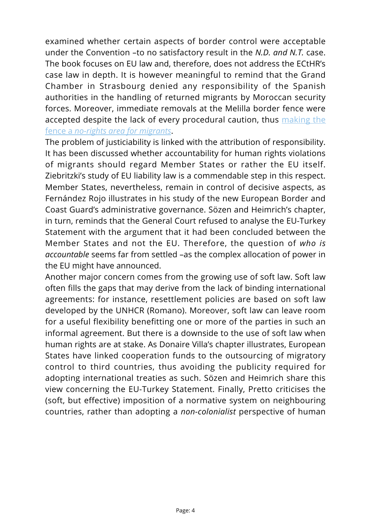examined whether certain aspects of border control were acceptable under the Convention –to no satisfactory result in the *N.D. and N.T.* case. The book focuses on EU law and, therefore, does not address the ECtHR's case law in depth. It is however meaningful to remind that the Grand Chamber in Strasbourg denied any responsibility of the Spanish authorities in the handling of returned migrants by Moroccan security forces. Moreover, immediate removals at the Melilla border fence were accepted despite the lack of every procedural caution, thus [making the](http://romatrepress.uniroma3.it/wp-content/uploads/2020/10/05.lade-cerd.pdf) [fence a](http://romatrepress.uniroma3.it/wp-content/uploads/2020/10/05.lade-cerd.pdf) *[no-rights area for migrants](http://romatrepress.uniroma3.it/wp-content/uploads/2020/10/05.lade-cerd.pdf)*.

The problem of justiciability is linked with the attribution of responsibility. It has been discussed whether accountability for human rights violations of migrants should regard Member States or rather the EU itself. Ziebritzki's study of EU liability law is a commendable step in this respect. Member States, nevertheless, remain in control of decisive aspects, as Fernández Rojo illustrates in his study of the new European Border and Coast Guard's administrative governance. Sözen and Heimrich's chapter, in turn, reminds that the General Court refused to analyse the EU-Turkey Statement with the argument that it had been concluded between the Member States and not the EU. Therefore, the question of *who is accountable* seems far from settled –as the complex allocation of power in the EU might have announced.

Another major concern comes from the growing use of soft law. Soft law often fills the gaps that may derive from the lack of binding international agreements: for instance, resettlement policies are based on soft law developed by the UNHCR (Romano). Moreover, soft law can leave room for a useful flexibility benefitting one or more of the parties in such an informal agreement. But there is a downside to the use of soft law when human rights are at stake. As Donaire Villa's chapter illustrates, European States have linked cooperation funds to the outsourcing of migratory control to third countries, thus avoiding the publicity required for adopting international treaties as such. Sözen and Heimrich share this view concerning the EU-Turkey Statement. Finally, Pretto criticises the (soft, but effective) imposition of a normative system on neighbouring countries, rather than adopting a *non-colonialist* perspective of human